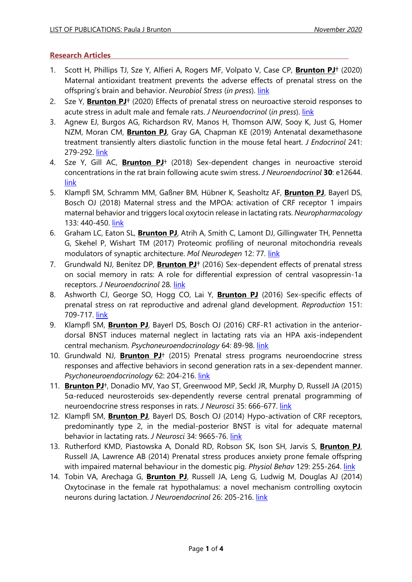## **Research Articles**

- 1. Scott H, Phillips TJ, Sze Y, Alfieri A, Rogers MF, Volpato V, Case CP, **Brunton PJ**† (2020) Maternal antioxidant treatment prevents the adverse effects of prenatal stress on the offspring's brain and behavior. *Neurobiol Stress* (*in press*). [link](https://doi.org/10.1016/j.ynstr.2020.100281)
- 2. Sze Y, **Brunton PJ**† (2020) Effects of prenatal stress on neuroactive steroid responses to acute stress in adult male and female rats. *J Neuroendocrinol* (*in press*). [link](https://doi.org/10.1111/jne.12916)
- 3. Agnew EJ, Burgos AG, Richardson RV, Manos H, Thomson AJW, Sooy K, Just G, Homer NZM, Moran CM, **Brunton PJ**, Gray GA, Chapman KE (2019) Antenatal dexamethasone treatment transiently alters diastolic function in the mouse fetal heart. *J Endocrinol* 241: 279-292. [link](https://doi.org/10.1530/JOE-18-0666)
- 4. Sze Y, Gill AC, **Brunton PJ**† (2018) Sex-dependent changes in neuroactive steroid concentrations in the rat brain following acute swim stress. *J Neuroendocrinol* **30**: e12644. [link](https://doi.org/10.1111/jne.12644)
- 5. Klampfl SM, Schramm MM, Gaßner BM, Hübner K, Seasholtz AF, **Brunton PJ**, Bayerl DS, Bosch OJ (2018) Maternal stress and the MPOA: activation of CRF receptor 1 impairs maternal behavior and triggers local oxytocin release in lactating rats. *Neuropharmacology* 133: 440-450. [link](https://doi.org/10.1016/j.neuropharm.2018.02.019)
- 6. Graham LC, Eaton SL, **Brunton PJ**, Atrih A, Smith C, Lamont DJ, Gillingwater TH, Pennetta G, Skehel P, Wishart TM (2017) Proteomic profiling of neuronal mitochondria reveals modulators of synaptic architecture. *Mol Neurodegen* 12: 77*.* [link](https://doi.org/10.1186/s13024-017-0221-9)
- 7. Grundwald NJ, Benítez DP, **Brunton PJ**† (2016) Sex-dependent effects of prenatal stress on social memory in rats: A role for differential expression of central vasopressin-1a receptors. *J Neuroendocrinol* 28. [link](https://doi.org/10.1111/jne.12343)
- 8. Ashworth CJ, George SO, Hogg CO, Lai Y, **Brunton PJ** (2016) Sex-specific effects of prenatal stress on rat reproductive and adrenal gland development. *Reproduction* 151: 709-717. [link](https://doi.org/10.1530/rep-16-0097)
- 9. Klampfl SM, **Brunton PJ**, Bayerl DS, Bosch OJ (2016) CRF-R1 activation in the anteriordorsal BNST induces maternal neglect in lactating rats via an HPA axis-independent central mechanism. *Psychoneuroendocrinology* 64: 89-98. [link](https://doi.org/10.1016/j.psyneuen.2015.11.015)
- 10. Grundwald NJ, **Brunton PJ**† (2015) Prenatal stress programs neuroendocrine stress responses and affective behaviors in second generation rats in a sex-dependent manner. *Psychoneuroendocrinology* 62: 204-216. [link](https://doi.org/10.1016/j.psyneuen.2015.08.010)
- 11. **Brunton PJ**†, Donadio MV, Yao ST, Greenwood MP, Seckl JR, Murphy D, Russell JA (2015) 5α-reduced neurosteroids sex-dependently reverse central prenatal programming of neuroendocrine stress responses in rats. *J Neurosci* 35: 666-677. [link](https://doi.org/10.1523/jneurosci.5104-13.2015)
- 12. Klampfl SM, **Brunton PJ**, Bayerl DS, Bosch OJ (2014) Hypo-activation of CRF receptors, predominantly type 2, in the medial-posterior BNST is vital for adequate maternal behavior in lactating rats. *J Neurosci* 34: 9665-76. [link](https://doi.org/10.1523/jneurosci.4220-13.2014)
- 13. Rutherford KMD, Piastowska A, Donald RD, Robson SK, Ison SH, Jarvis S, **Brunton PJ**, Russell JA, Lawrence AB (2014) Prenatal stress produces anxiety prone female offspring with impaired maternal behaviour in the domestic pig. *Physiol Behav* 129: 255-264. [link](https://doi.org/10.1016/j.physbeh.2014.02.052)
- 14. Tobin VA, Arechaga G, **Brunton PJ**, Russell JA, Leng G, Ludwig M, Douglas AJ (2014) Oxytocinase in the female rat hypothalamus: a novel mechanism controlling oxytocin neurons during lactation. *J Neuroendocrinol* 26: 205-216. [link](https://doi.org/10.1111/jne.12141)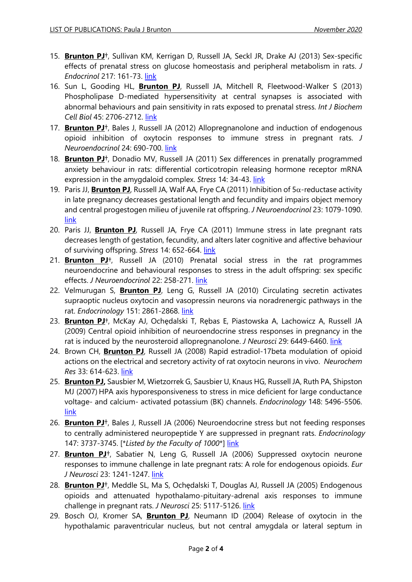- 15. **Brunton PJ**†, Sullivan KM, Kerrigan D, Russell JA, Seckl JR, Drake AJ (2013) [Sex-specific](http://www.ncbi.nlm.nih.gov/pubmed/23428582)  [effects of prenatal stress on glucose homeostasis and peripheral metabolism in rats.](http://www.ncbi.nlm.nih.gov/pubmed/23428582) *J Endocrinol* 217: 161-73. [link](https://doi.org/10.1530/joe-12-0540)
- 16. Sun L, Gooding HL, **Brunton PJ**, Russell JA, Mitchell R, Fleetwood-Walker S (2013) Phospholipase D-mediated hypersensitivity at central synapses is associated with abnormal behaviours and pain sensitivity in rats exposed to prenatal stress. *Int J Biochem Cell Biol* 45: 2706-2712. [link](https://doi.org/10.1016/j.biocel.2013.07.017)
- 17. **Brunton PJ**†, Bales J, Russell JA (2012) [Allopregnanolone and induction of endogenous](http://www.ncbi.nlm.nih.gov/pubmed/22340139)  [opioid inhibition of oxytocin responses to immune stress in pregnant rats.](http://www.ncbi.nlm.nih.gov/pubmed/22340139) *J Neuroendocrinol* 24: 690-700. [link](https://doi.org/10.1111/j.1365-2826.2012.02295.x)
- 18. **Brunton PJ**†, Donadio MV, Russell JA (2011) Sex differences in prenatally programmed anxiety behaviour in rats: differential corticotropin releasing hormone receptor mRNA expression in the amygdaloid complex. *Stress* 14: 34-43. [link](https://doi.org/10.3109/10253890.2011.604750)
- 19. Paris JJ, **Brunton PJ**, Russell JA, Walf AA, Frye CA (2011) Inhibition of  $5\alpha$ -reductase activity in late pregnancy decreases gestational length and fecundity and impairs object memory and central progestogen milieu of juvenile rat offspring. *J Neuroendocrinol* 23: 1079-1090. [link](https://doi.org/10.1111/j.1365-2826.2011.02219.x)
- 20. Paris JJ, **Brunton PJ**, Russell JA, Frye CA (2011) Immune stress in late pregnant rats decreases length of gestation, fecundity, and alters later cognitive and affective behaviour of surviving offspring. Stress 14: 652-664. [link](https://doi.org/10.3109/10253890.2011.628719)
- 21. **Brunton PJ**†, Russell JA (2010) [Prenatal social stress in the rat programmes](http://www.ncbi.nlm.nih.gov/pubmed/20136688?itool=EntrezSystem2.PEntrez.Pubmed.Pubmed_ResultsPanel.Pubmed_RVDocSum&ordinalpos=1)  neuroendocrine and behavioural [responses to stress in the adult offspring: sex specific](http://www.ncbi.nlm.nih.gov/pubmed/20136688?itool=EntrezSystem2.PEntrez.Pubmed.Pubmed_ResultsPanel.Pubmed_RVDocSum&ordinalpos=1)  [effects.](http://www.ncbi.nlm.nih.gov/pubmed/20136688?itool=EntrezSystem2.PEntrez.Pubmed.Pubmed_ResultsPanel.Pubmed_RVDocSum&ordinalpos=1) *J Neuroendocrinol* 22: 258-271. [link](https://doi.org/10.1111/j.1365-2826.2010.01969.x)
- 22. Velmurugan S, **Brunton PJ**, Leng G, Russell JA (2010) Circulating secretin activates supraoptic nucleus oxytocin and vasopressin neurons via noradrenergic pathways in the rat. *Endocrinology* 151: 2861-2868. [link](https://doi.org/10.1210/en.2009-1440)
- 23. **Brunton PJ**†, McKay AJ, Ochędalski T, Rębas E, Piastowska A, Lachowicz A, Russell JA (2009) Central opioid inhibition of neuroendocrine stress responses in pregnancy in the rat is induced by the neurosteroid allopregnanolone. *J Neurosci* 29: 6449-6460. [link](https://doi.org/10.1523/jneurosci.0708-09.2009)
- 24. Brown CH, **Brunton PJ**, Russell JA (2008) Rapid estradiol-17beta modulation of opioid actions on the electrical and secretory activity of rat oxytocin neurons in vivo. *Neurochem Res* 33: 614-623. [link](https://doi.org/10.1007/s11064-007-9506-7)
- 25. **Brunton PJ,** Sausbier M, Wietzorrek G, Sausbier U, Knaus HG, Russell JA, Ruth PA, Shipston MJ (2007) HPA axis hyporesponsiveness to stress in mice deficient for large conductance voltage- and calcium- activated potassium (BK) channels. *Endocrinology* 148: 5496-5506. [link](https://doi.org/10.1210/en.2007-0319)
- 26. **Brunton PJ**†, Bales J, Russell JA (2006) Neuroendocrine stress but not feeding responses to centrally administered neuropeptide Y are suppressed in pregnant rats. *Endocrinology* 147: 3737-3745. [\**Listed by the Faculty of 1000*\*] [link](https://doi.org/10.1210/en.2006-0048)
- 27. **Brunton PJ**†, Sabatier N, Leng G, Russell JA (2006) Suppressed oxytocin neurone responses to immune challenge in late pregnant rats: A role for endogenous opioids. *Eur J Neurosci* 23: 1241-1247. [link](https://doi.org/10.1111/j.1460-9568.2006.04614.x)
- 28. **Brunton PJ**†, Meddle SL, Ma S, Ochędalski T, Douglas AJ, Russell JA (2005) Endogenous opioids and attenuated hypothalamo-pituitary-adrenal axis responses to immune challenge in pregnant rats. *J Neurosci* 25: 5117-5126. [link](https://doi.org/10.1523/jneurosci.0866-05.2005)
- 29. Bosch OJ, Kromer SA, **Brunton PJ**, Neumann ID (2004) Release of oxytocin in the hypothalamic paraventricular nucleus, but not central amygdala or lateral septum in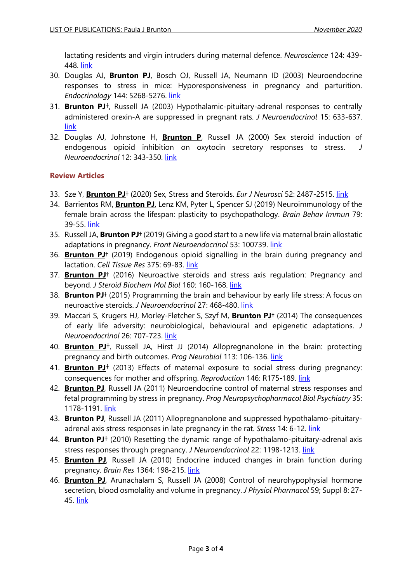lactating residents and virgin intruders during maternal defence. *Neuroscience* 124: 439- 448. [link](https://doi.org/10.1016/j.neuroscience.2003.11.028)

- 30. Douglas AJ, **Brunton PJ**, Bosch OJ, Russell JA, Neumann ID (2003) Neuroendocrine responses to stress in mice: Hyporesponsiveness in pregnancy and parturition. *Endocrinology* 144: 5268-5276. [link](https://doi.org/10.1210/en.2003-0461)
- 31. **Brunton PJ**†, Russell JA (2003) Hypothalamic-pituitary-adrenal responses to centrally administered orexin-A are suppressed in pregnant rats. *J Neuroendocrinol* 15: 633-637. [link](https://doi.org/10.1046/j.1365-2826.2003.01045.x)
- 32. Douglas AJ, Johnstone H, **Brunton P**, Russell JA (2000) Sex steroid induction of endogenous opioid inhibition on oxytocin secretory responses to stress. *J Neuroendocrinol* 12: 343-350. [link](https://doi.org/10.1046/j.1365-2826.2000.00460.x)

**Review Articles**

- 33. Sze Y, **Brunton PJ**† (2020) Sex, Stress and Steroids. *Eur J Neurosci* 52: 2487-2515. [link](https://doi.org/10.1111/ejn.14615)
- 34. Barrientos RM, **Brunton PJ**, Lenz KM, Pyter L, Spencer SJ (2019) Neuroimmunology of the female brain across the lifespan: plasticity to psychopathology. *Brain Behav Immun* 79: 39-55. [link](https://doi.org/10.1016/j.bbi.2019.03.010)
- 35. Russell JA, **Brunton PJ**† (2019) Giving a good start to a new life via maternal brain allostatic adaptations in pregnancy. *Front Neuroendocrinol* 53: 100739. [link](https://doi.org/10.1016/j.yfrne.2019.02.003)
- 36. **Brunton PJ**† (2019) Endogenous opioid signalling in the brain during pregnancy and lactation. *Cell Tissue Res* 375: 69-83. [link](https://doi.org/10.1007/s00441-018-2948-1)
- 37. **Brunton PJ**† (2016) Neuroactive steroids and stress axis regulation: Pregnancy and beyond. *J Steroid Biochem Mol Biol* 160: 160-168. [link](https://doi.org/10.1016/j.jsbmb.2015.08.003)
- 38. **Brunton PJ**† (2015) Programming the brain and behaviour by early life stress: A focus on neuroactive steroids. *J Neuroendocrinol* 27: 468-480. [link](https://doi.org/10.1111/jne.12265)
- 39. Maccari S, Krugers HJ, Morley-Fletcher S, Szyf M, **Brunton PJ**† (2014) The consequences of early life adversity: neurobiological, behavioural and epigenetic adaptations. *J Neuroendocrinol* 26: 707-723. [link](https://doi.org/10.1111/jne.12175)
- 40. **Brunton PJ**†, Russell JA, Hirst JJ (2014) Allopregnanolone in the brain: protecting pregnancy and birth outcomes. Prog Neurobiol 113: 106-136. [link](https://doi.org/10.1016/j.pneurobio.2013.08.005)
- 41. **Brunton PJ**† (2013) Effects of maternal exposure to social stress during pregnancy: consequences for mother and offspring. *Reproduction* 146: R175-189. [link](https://doi.org/10.1530/rep-13-0258)
- 42. **Brunton PJ**, Russell JA (2011) [Neuroendocrine control of maternal stress responses and](http://www.ncbi.nlm.nih.gov/pubmed/21216265)  [fetal programming by stress in pregnancy.](http://www.ncbi.nlm.nih.gov/pubmed/21216265) *Prog Neuropsychopharmacol Biol Psychiatry* 35: 1178-1191. [link](https://doi.org/10.1016/j.pnpbp.2010.12.023)
- 43. **Brunton PJ**, Russell JA (2011) Allopregnanolone and suppressed hypothalamo-pituitaryadrenal axis stress responses in late pregnancy in the rat. *Stress* 14: 6-12. [link](https://doi.org/10.3109/10253890.2010.482628)
- 44. **Brunton PJ**† (2010) Resetting the dynamic range of hypothalamo-pituitary-adrenal axis stress responses through pregnancy. *J Neuroendocrinol* 22: 1198-1213. [link](https://doi.org/10.1111/j.1365-2826.2010.02067.x)
- 45. **Brunton PJ**, Russell JA (2010) Endocrine induced changes in brain function during pregnancy. *Brain Res* 1364: 198-215. [link](https://doi.org/10.1016/j.brainres.2010.09.062)
- 46. **Brunton PJ**, Arunachalam S, Russell JA (2008) Control of neurohypophysial hormone secretion, blood osmolality and volume in pregnancy. *J Physiol Pharmacol* 59; Suppl 8: 27 45. [link](https://pubmed.ncbi.nlm.nih.gov/19258663/)